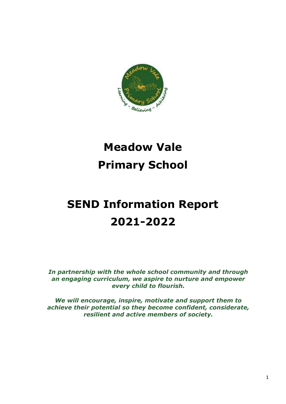

# **Meadow Vale Primary School**

# **SEND Information Report 2021-2022**

*In partnership with the whole school community and through an engaging curriculum, we aspire to nurture and empower every child to flourish.*

*We will encourage, inspire, motivate and support them to achieve their potential so they become confident, considerate, resilient and active members of society.*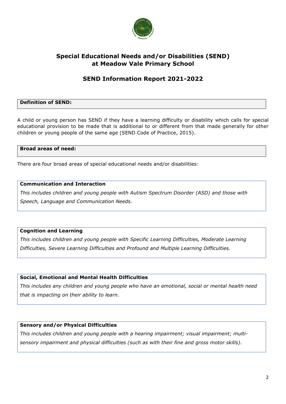

# **Special Educational Needs and/or Disabilities (SEND) at Meadow Vale Primary School**

# **SEND Information Report 2021-2022**

### **Definition of SEND:**

A child or young person has SEND if they have a learning difficulty or disability which calls for special educational provision to be made that is additional to or different from that made generally for other children or young people of the same age (SEND Code of Practice, 2015).

#### **Broad areas of need:**

There are four broad areas of special educational needs and/or disabilities:

### **Communication and Interaction**

*This includes children and young people with Autism Spectrum Disorder (ASD) and those with Speech, Language and Communication Needs.*

#### **Cognition and Learning**

*This includes children and young people with Specific Learning Difficulties, Moderate Learning Difficulties, Severe Learning Difficulties and Profound and Multiple Learning Difficulties.*

#### **Social, Emotional and Mental Health Difficulties**

*This includes any children and young people who have an emotional, social or mental health need that is impacting on their ability to learn.*

### **Sensory and/or Physical Difficulties**

*This includes children and young people with a hearing impairment; visual impairment; multisensory impairment and physical difficulties (such as with their fine and gross motor skills).*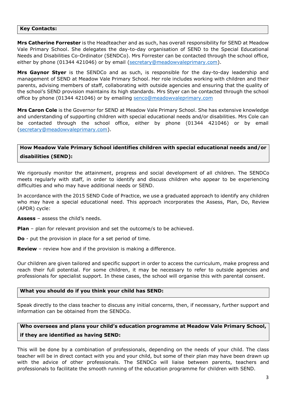#### **Key Contacts:**

**Mrs Catherine Forrester** is the Headteacher and as such, has overall responsibility for SEND at Meadow Vale Primary School. She delegates the day-to-day organisation of SEND to the Special Educational Needs and Disabilities Co-Ordinator (SENDCo). Mrs Forrester can be contacted through the school office, either by phone (01344 421046) or by email [\(secretary@meadowvaleprimary.com\)](mailto:secretary@meadowvaleprimary.com).

**Mrs Gaynor Styer** is the SENDCo and as such, is responsible for the day-to-day leadership and management of SEND at Meadow Vale Primary School. Her role includes working with children and their parents, advising members of staff, collaborating with outside agencies and ensuring that the quality of the school's SEND provision maintains its high standards. Mrs Styer can be contacted through the school office by phone (01344 421046) or by emailing [senco@meadowvaleprimary.com](mailto:senco@meadowvaleprimary.com)

**Mrs Caron Cole** is the Governor for SEND at Meadow Vale Primary School. She has extensive knowledge and understanding of supporting children with special educational needs and/or disabilities. Mrs Cole can be contacted through the school office, either by phone (01344 421046) or by email [\(secretary@meadowvaleprimary.com\)](mailto:secretary@meadowvaleprimary.com).

# **How Meadow Vale Primary School identifies children with special educational needs and/or disabilities (SEND):**

We rigorously monitor the attainment, progress and social development of all children. The SENDCo meets regularly with staff, in order to identify and discuss children who appear to be experiencing difficulties and who may have additional needs or SEND.

In accordance with the 2015 SEND Code of Practice, we use a graduated approach to identify any children who may have a special educational need. This approach incorporates the Assess, Plan, Do, Review (APDR) cycle:

**Assess** – assess the child's needs.

**Plan** – plan for relevant provision and set the outcome/s to be achieved.

**Do** - put the provision in place for a set period of time.

**Review** – review how and if the provision is making a difference.

Our children are given tailored and specific support in order to access the curriculum, make progress and reach their full potential. For some children, it may be necessary to refer to outside agencies and professionals for specialist support. In these cases, the school will organise this with parental consent.

#### **What you should do if you think your child has SEND:**

Speak directly to the class teacher to discuss any initial concerns, then, if necessary, further support and information can be obtained from the SENDCo.

# **Who oversees and plans your child's education programme at Meadow Vale Primary School, if they are identified as having SEND:**

This will be done by a combination of professionals, depending on the needs of your child. The class teacher will be in direct contact with you and your child, but some of their plan may have been drawn up with the advice of other professionals. The SENDCo will liaise between parents, teachers and professionals to facilitate the smooth running of the education programme for children with SEND.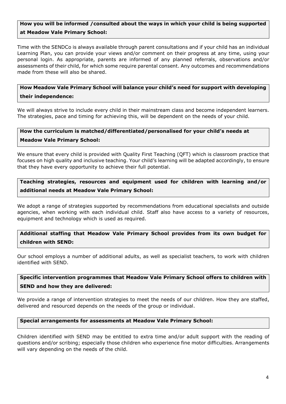## **How you will be informed /consulted about the ways in which your child is being supported at Meadow Vale Primary School:**

Time with the SENDCo is always available through parent consultations and if your child has an individual Learning Plan, you can provide your views and/or comment on their progress at any time, using your personal login. As appropriate, parents are informed of any planned referrals, observations and/or assessments of their child, for which some require parental consent. Any outcomes and recommendations made from these will also be shared.

## **How Meadow Vale Primary School will balance your child's need for support with developing their independence:**

We will always strive to include every child in their mainstream class and become independent learners. The strategies, pace and timing for achieving this, will be dependent on the needs of your child.

## **How the curriculum is matched/differentiated/personalised for your child's needs at Meadow Vale Primary School:**

We ensure that every child is provided with Quality First Teaching (QFT) which is classroom practice that focuses on high quality and inclusive teaching. Your child's learning will be adapted accordingly, to ensure that they have every opportunity to achieve their full potential.

## **Teaching strategies, resources and equipment used for children with learning and/or additional needs at Meadow Vale Primary School:**

We adopt a range of strategies supported by recommendations from educational specialists and outside agencies, when working with each individual child. Staff also have access to a variety of resources, equipment and technology which is used as required.

## **Additional staffing that Meadow Vale Primary School provides from its own budget for children with SEND:**

Our school employs a number of additional adults, as well as specialist teachers, to work with children identified with SEND.

## **Specific intervention programmes that Meadow Vale Primary School offers to children with SEND and how they are delivered:**

We provide a range of intervention strategies to meet the needs of our children. How they are staffed, delivered and resourced depends on the needs of the group or individual.

#### **Special arrangements for assessments at Meadow Vale Primary School:**

Children identified with SEND may be entitled to extra time and/or adult support with the reading of questions and/or scribing; especially those children who experience fine motor difficulties. Arrangements will vary depending on the needs of the child.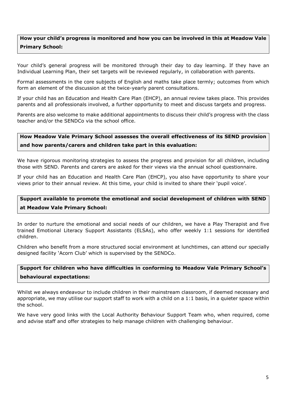## **How your child's progress is monitored and how you can be involved in this at Meadow Vale Primary School:**

Your child's general progress will be monitored through their day to day learning. If they have an Individual Learning Plan, their set targets will be reviewed regularly, in collaboration with parents.

Formal assessments in the core subjects of English and maths take place termly; outcomes from which form an element of the discussion at the twice-yearly parent consultations.

If your child has an Education and Health Care Plan (EHCP), an annual review takes place. This provides parents and all professionals involved, a further opportunity to meet and discuss targets and progress.

Parents are also welcome to make additional appointments to discuss their child's progress with the class teacher and/or the SENDCo via the school office.

## **How Meadow Vale Primary School assesses the overall effectiveness of its SEND provision and how parents/carers and children take part in this evaluation:**

We have rigorous monitoring strategies to assess the progress and provision for all children, including those with SEND. Parents and carers are asked for their views via the annual school questionnaire.

If your child has an Education and Health Care Plan (EHCP), you also have opportunity to share your views prior to their annual review. At this time, your child is invited to share their 'pupil voice'.

# **Support available to promote the emotional and social development of children with SEND at Meadow Vale Primary School:**

In order to nurture the emotional and social needs of our children, we have a Play Therapist and five trained Emotional Literacy Support Assistants (ELSAs), who offer weekly 1:1 sessions for identified children.

Children who benefit from a more structured social environment at lunchtimes, can attend our specially designed facility 'Acorn Club' which is supervised by the SENDCo.

## **Support for children who have difficulties in conforming to Meadow Vale Primary School's behavioural expectations:**

Whilst we always endeavour to include children in their mainstream classroom, if deemed necessary and appropriate, we may utilise our support staff to work with a child on a 1:1 basis, in a quieter space within the school.

We have very good links with the Local Authority Behaviour Support Team who, when required, come and advise staff and offer strategies to help manage children with challenging behaviour.